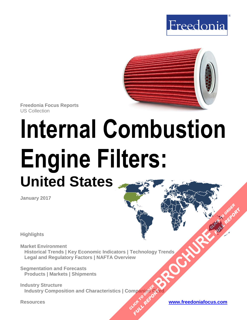



**Freedonia Focus Reports** US Collection

# **Internal Combustion Engine Filters: United States**

**January 2017**

**Highlights**

**Market Environment Historical Trends | Key Economic Indicators | Technology Trends Legal and Regulatory Factors | NAFTA Overview [BROCHURE](http://www.freedoniagroup.com/FocusDetails.aspx?ReferrerId=FM-FocusBro&ReportID=FF70035) AND THE CLICK TO ORDER** 

**Segmentation and Forecasts Products | Markets | Shipments**

**Industry Structure Industry Composition and Characteristics | Companies Cited OMPanjages Plance City** 

**Resources [www.freedoniafocus.com](http://www.freedoniagroup.com/FocusReports.aspx?ReferrerId=FM-FocusBro)**

**FULL REPORT**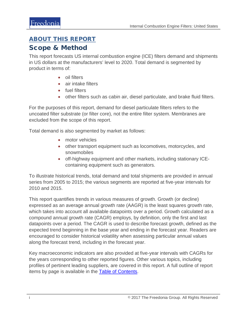## <span id="page-1-0"></span>ABOUT THIS REPORT

## Scope & Method

This report forecasts US internal combustion engine (ICE) filters demand and shipments in US dollars at the manufacturers' level to 2020. Total demand is segmented by product in terms of:

- oil filters
- air intake filters
- fuel filters
- other filters such as cabin air, diesel particulate, and brake fluid filters.

For the purposes of this report, demand for diesel particulate filters refers to the uncoated filter substrate (or filter core), not the entire filter system. Membranes are excluded from the scope of this report.

Total demand is also segmented by market as follows:

- motor vehicles
- other transport equipment such as locomotives, motorcycles, and snowmobiles
- off-highway equipment and other markets, including stationary ICEcontaining equipment such as generators.

To illustrate historical trends, total demand and total shipments are provided in annual series from 2005 to 2015; the various segments are reported at five-year intervals for 2010 and 2015.

This report quantifies trends in various measures of growth. Growth (or decline) expressed as an average annual growth rate (AAGR) is the least squares growth rate, which takes into account all available datapoints over a period. Growth calculated as a compound annual growth rate (CAGR) employs, by definition, only the first and last datapoints over a period. The CAGR is used to describe forecast growth, defined as the expected trend beginning in the base year and ending in the forecast year. Readers are encouraged to consider historical volatility when assessing particular annual values along the forecast trend, including in the forecast year.

Key macroeconomic indicators are also provided at five-year intervals with CAGRs for the years corresponding to other reported figures. Other various topics, including profiles of pertinent leading suppliers, are covered in this report. A full outline of report items by page is available in the [Table of Contents.](#page-3-0)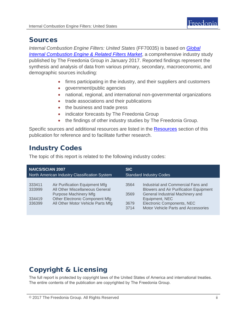

## Sources

*Internal Combustion Engine Filters: United States* (FF70035) is based on *[Global](http://www.freedoniagroup.com/DocumentDetails.aspx?ReferrerId=FL-FOCUS&studyid=3481)  [Internal Combustion Engine & Related Filters Market](http://www.freedoniagroup.com/DocumentDetails.aspx?ReferrerId=FL-FOCUS&studyid=3481)*, a comprehensive industry study published by The Freedonia Group in January 2017. Reported findings represent the synthesis and analysis of data from various primary, secondary, macroeconomic, and demographic sources including:

- firms participating in the industry, and their suppliers and customers
- government/public agencies
- national, regional, and international non-governmental organizations
- trade associations and their publications
- the business and trade press
- indicator forecasts by The Freedonia Group
- the findings of other industry studies by The Freedonia Group.

Specific sources and additional resources are listed in the [Resources](#page-4-0) section of this publication for reference and to facilitate further research.

# Industry Codes

The topic of this report is related to the following industry codes:

| <b>NAICS/SCIAN 2007</b>                       |                                                                                                                                                                          | <b>SIC</b>                     |                                                                                                                                                                                                                |
|-----------------------------------------------|--------------------------------------------------------------------------------------------------------------------------------------------------------------------------|--------------------------------|----------------------------------------------------------------------------------------------------------------------------------------------------------------------------------------------------------------|
| North American Industry Classification System |                                                                                                                                                                          | <b>Standard Industry Codes</b> |                                                                                                                                                                                                                |
| 333411<br>333999<br>334419<br>336399          | Air Purification Equipment Mfg<br>All Other Miscellaneous General<br><b>Purpose Machinery Mfg</b><br>Other Electronic Component Mfg<br>All Other Motor Vehicle Parts Mfg | 3564<br>3569<br>3679<br>3714   | Industrial and Commercial Fans and<br><b>Blowers and Air Purification Equipment</b><br>General Industrial Machinery and<br>Equipment, NEC<br>Electronic Components, NEC<br>Motor Vehicle Parts and Accessories |

# Copyright & Licensing

The full report is protected by copyright laws of the United States of America and international treaties. The entire contents of the publication are copyrighted by The Freedonia Group.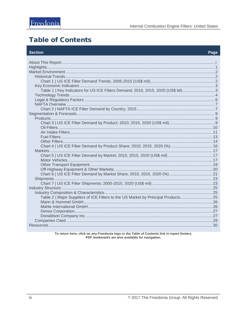# <span id="page-3-0"></span>**Table of Contents**

#### **Section**

#### Page

| Table 1   Key Indicators for US ICE Filters Demand; 2010, 2015, 2020 (US\$ bil)   |  |
|-----------------------------------------------------------------------------------|--|
|                                                                                   |  |
|                                                                                   |  |
|                                                                                   |  |
|                                                                                   |  |
|                                                                                   |  |
|                                                                                   |  |
|                                                                                   |  |
|                                                                                   |  |
|                                                                                   |  |
|                                                                                   |  |
|                                                                                   |  |
| Chart 4   US ICE Filter Demand by Product Share; 2010, 2015, 2020 (%)  16         |  |
|                                                                                   |  |
|                                                                                   |  |
|                                                                                   |  |
|                                                                                   |  |
|                                                                                   |  |
|                                                                                   |  |
|                                                                                   |  |
|                                                                                   |  |
|                                                                                   |  |
|                                                                                   |  |
| Table 2   Major Suppliers of ICE Filters to the US Market by Principal Products25 |  |
|                                                                                   |  |
|                                                                                   |  |
|                                                                                   |  |
|                                                                                   |  |
|                                                                                   |  |
|                                                                                   |  |

To return here, click on any Freedonia logo or the Table of Contents link in report footers.<br>PDF bookmarks are also available for navigation.